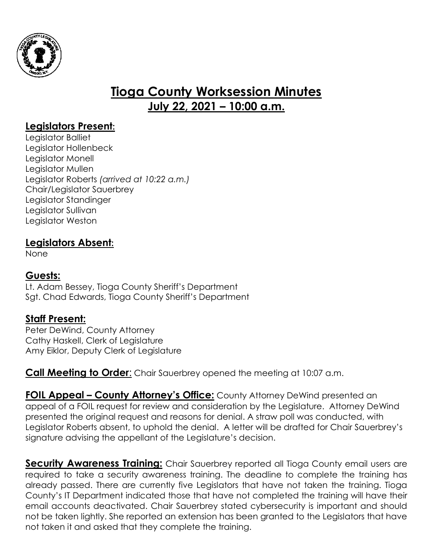

# **Tioga County Worksession Minutes July 22, 2021 – 10:00 a.m.**

### **Legislators Present:**

Legislator Balliet Legislator Hollenbeck Legislator Monell Legislator Mullen Legislator Roberts *(arrived at 10:22 a.m.)* Chair/Legislator Sauerbrey Legislator Standinger Legislator Sullivan Legislator Weston

#### **Legislators Absent:**

None

#### **Guests:**

Lt. Adam Bessey, Tioga County Sheriff's Department Sgt. Chad Edwards, Tioga County Sheriff's Department

#### **Staff Present:**

Peter DeWind, County Attorney Cathy Haskell, Clerk of Legislature Amy Eiklor, Deputy Clerk of Legislature

**Call Meeting to Order:** Chair Sauerbrey opened the meeting at 10:07 a.m.

**FOIL Appeal – County Attorney's Office:** County Attorney DeWind presented an appeal of a FOIL request for review and consideration by the Legislature. Attorney DeWind presented the original request and reasons for denial. A straw poll was conducted, with Legislator Roberts absent, to uphold the denial. A letter will be drafted for Chair Sauerbrey's signature advising the appellant of the Legislature's decision.

**Security Awareness Training:** Chair Sauerbrey reported all Tioga County email users are required to take a security awareness training. The deadline to complete the training has already passed. There are currently five Legislators that have not taken the training. Tioga County's IT Department indicated those that have not completed the training will have their email accounts deactivated. Chair Sauerbrey stated cybersecurity is important and should not be taken lightly. She reported an extension has been granted to the Legislators that have not taken it and asked that they complete the training.